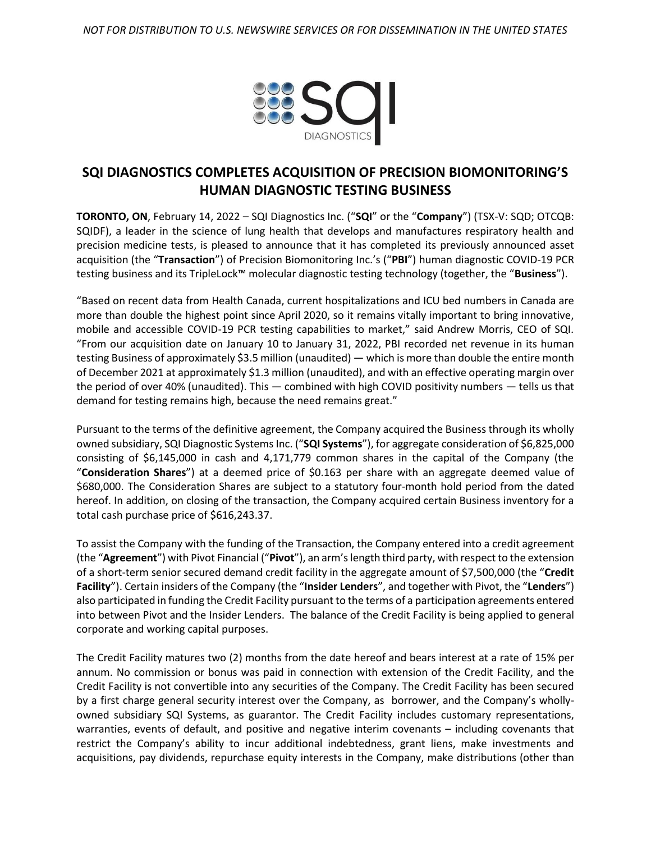

## **SQI DIAGNOSTICS COMPLETES ACQUISITION OF PRECISION BIOMONITORING'S HUMAN DIAGNOSTIC TESTING BUSINESS**

**TORONTO, ON**, February 14, 2022 – SQI Diagnostics Inc. ("**SQI**" or the "**Company**") (TSX-V: SQD; OTCQB: SQIDF), a leader in the science of lung health that develops and manufactures respiratory health and precision medicine tests, is pleased to announce that it has completed its previously announced asset acquisition (the "**Transaction**") of Precision Biomonitoring Inc.'s ("**PBI**") human diagnostic COVID-19 PCR testing business and its TripleLock™ molecular diagnostic testing technology (together, the "**Business**").

"Based on recent data from Health Canada, current hospitalizations and ICU bed numbers in Canada are more than double the highest point since April 2020, so it remains vitally important to bring innovative, mobile and accessible COVID-19 PCR testing capabilities to market," said Andrew Morris, CEO of SQI. "From our acquisition date on January 10 to January 31, 2022, PBI recorded net revenue in its human testing Business of approximately \$3.5 million (unaudited) — which is more than double the entire month of December 2021 at approximately \$1.3 million (unaudited), and with an effective operating margin over the period of over 40% (unaudited). This — combined with high COVID positivity numbers — tells us that demand for testing remains high, because the need remains great."

Pursuant to the terms of the definitive agreement, the Company acquired the Business through its wholly owned subsidiary, SQI Diagnostic Systems Inc. ("**SQI Systems**"), for aggregate consideration of \$6,825,000 consisting of \$6,145,000 in cash and 4,171,779 common shares in the capital of the Company (the "**Consideration Shares**") at a deemed price of \$0.163 per share with an aggregate deemed value of \$680,000. The Consideration Shares are subject to a statutory four-month hold period from the dated hereof. In addition, on closing of the transaction, the Company acquired certain Business inventory for a total cash purchase price of \$616,243.37.

To assist the Company with the funding of the Transaction, the Company entered into a credit agreement (the "**Agreement**") with Pivot Financial ("**Pivot**"), an arm's length third party, with respect to the extension of a short-term senior secured demand credit facility in the aggregate amount of \$7,500,000 (the "**Credit Facility**"). Certain insiders of the Company (the "**Insider Lenders**", and together with Pivot, the "**Lenders**") also participated in funding the Credit Facility pursuant to the terms of a participation agreements entered into between Pivot and the Insider Lenders. The balance of the Credit Facility is being applied to general corporate and working capital purposes.

The Credit Facility matures two (2) months from the date hereof and bears interest at a rate of 15% per annum. No commission or bonus was paid in connection with extension of the Credit Facility, and the Credit Facility is not convertible into any securities of the Company. The Credit Facility has been secured by a first charge general security interest over the Company, as borrower, and the Company's whollyowned subsidiary SQI Systems, as guarantor. The Credit Facility includes customary representations, warranties, events of default, and positive and negative interim covenants – including covenants that restrict the Company's ability to incur additional indebtedness, grant liens, make investments and acquisitions, pay dividends, repurchase equity interests in the Company, make distributions (other than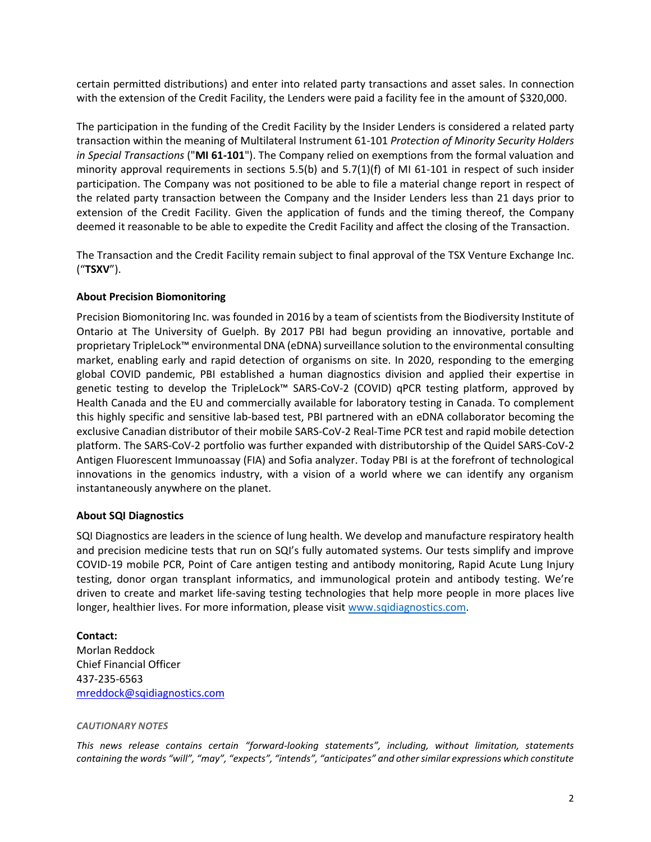certain permitted distributions) and enter into related party transactions and asset sales. In connection with the extension of the Credit Facility, the Lenders were paid a facility fee in the amount of \$320,000.

The participation in the funding of the Credit Facility by the Insider Lenders is considered a related party transaction within the meaning of Multilateral Instrument 61-101 *Protection of Minority Security Holders in Special Transactions* ("**MI 61-101**"). The Company relied on exemptions from the formal valuation and minority approval requirements in sections  $5.5(b)$  and  $5.7(1)(f)$  of MI 61-101 in respect of such insider participation. The Company was not positioned to be able to file a material change report in respect of the related party transaction between the Company and the Insider Lenders less than 21 days prior to extension of the Credit Facility. Given the application of funds and the timing thereof, the Company deemed it reasonable to be able to expedite the Credit Facility and affect the closing of the Transaction.

The Transaction and the Credit Facility remain subject to final approval of the TSX Venture Exchange Inc. ("**TSXV**").

## **About Precision Biomonitoring**

Precision Biomonitoring Inc. was founded in 2016 by a team of scientists from the Biodiversity Institute of Ontario at The University of Guelph. By 2017 PBI had begun providing an innovative, portable and proprietary TripleLock™ environmental DNA (eDNA) surveillance solution to the environmental consulting market, enabling early and rapid detection of organisms on site. In 2020, responding to the emerging global COVID pandemic, PBI established a human diagnostics division and applied their expertise in genetic testing to develop the TripleLock™ SARS-CoV-2 (COVID) qPCR testing platform, approved by Health Canada and the EU and commercially available for laboratory testing in Canada. To complement this highly specific and sensitive lab-based test, PBI partnered with an eDNA collaborator becoming the exclusive Canadian distributor of their mobile SARS-CoV-2 Real-Time PCR test and rapid mobile detection platform. The SARS-CoV-2 portfolio was further expanded with distributorship of the Quidel SARS-CoV-2 Antigen Fluorescent Immunoassay (FIA) and Sofia analyzer. Today PBI is at the forefront of technological innovations in the genomics industry, with a vision of a world where we can identify any organism instantaneously anywhere on the planet.

## **About SQI Diagnostics**

SQI Diagnostics are leaders in the science of lung health. We develop and manufacture respiratory health and precision medicine tests that run on SQI's fully automated systems. Our tests simplify and improve COVID-19 mobile PCR, Point of Care antigen testing and antibody monitoring, Rapid Acute Lung Injury testing, donor organ transplant informatics, and immunological protein and antibody testing. We're driven to create and market life-saving testing technologies that help more people in more places live longer, healthier lives. For more information, please visit [www.sqidiagnostics.com.](http://www.sqidiagnostics.com/)

**Contact:** Morlan Reddock Chief Financial Officer 437-235-6563 [mreddock@sqidiagnostics.com](mailto:mreddock@sqidiagnostics.com)

## *CAUTIONARY NOTES*

*This news release contains certain "forward-looking statements", including, without limitation, statements*  containing the words "will", "may", "expects", "intends", "anticipates" and other similar expressions which constitute